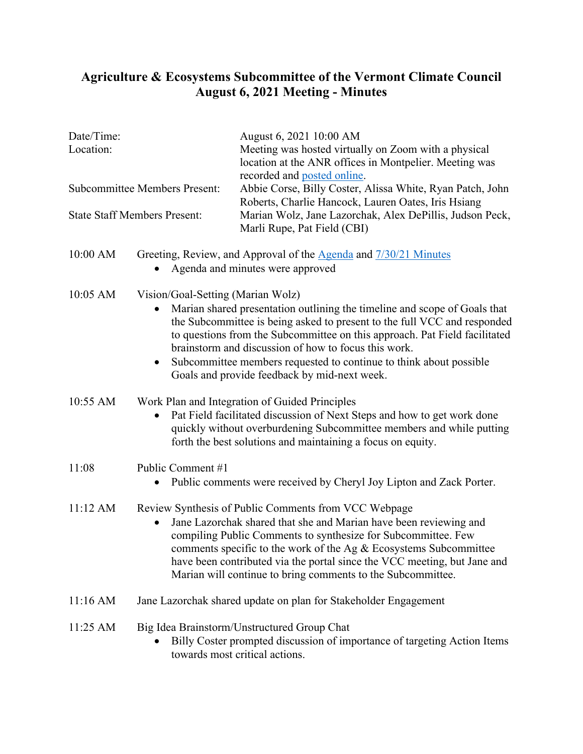## **Agriculture & Ecosystems Subcommittee of the Vermont Climate Council August 6, 2021 Meeting - Minutes**

| Date/Time:<br>Location:<br><b>Subcommittee Members Present:</b><br><b>State Staff Members Present:</b> |                                                                                                                                                                                                                                                                                                                                                                                                              | August 6, 2021 10:00 AM<br>Meeting was hosted virtually on Zoom with a physical<br>location at the ANR offices in Montpelier. Meeting was<br>recorded and posted online.<br>Abbie Corse, Billy Coster, Alissa White, Ryan Patch, John<br>Roberts, Charlie Hancock, Lauren Oates, Iris Hsiang<br>Marian Wolz, Jane Lazorchak, Alex DePillis, Judson Peck,<br>Marli Rupe, Pat Field (CBI) |          |                                                                                                                                                                                                                                                                                                                                                                                                                                                                     |                                                                                                      |  |
|--------------------------------------------------------------------------------------------------------|--------------------------------------------------------------------------------------------------------------------------------------------------------------------------------------------------------------------------------------------------------------------------------------------------------------------------------------------------------------------------------------------------------------|-----------------------------------------------------------------------------------------------------------------------------------------------------------------------------------------------------------------------------------------------------------------------------------------------------------------------------------------------------------------------------------------|----------|---------------------------------------------------------------------------------------------------------------------------------------------------------------------------------------------------------------------------------------------------------------------------------------------------------------------------------------------------------------------------------------------------------------------------------------------------------------------|------------------------------------------------------------------------------------------------------|--|
|                                                                                                        |                                                                                                                                                                                                                                                                                                                                                                                                              |                                                                                                                                                                                                                                                                                                                                                                                         | 10:00 AM |                                                                                                                                                                                                                                                                                                                                                                                                                                                                     | Greeting, Review, and Approval of the Agenda and 7/30/21 Minutes<br>Agenda and minutes were approved |  |
|                                                                                                        |                                                                                                                                                                                                                                                                                                                                                                                                              |                                                                                                                                                                                                                                                                                                                                                                                         | 10:05 AM | Vision/Goal-Setting (Marian Wolz)<br>Marian shared presentation outlining the timeline and scope of Goals that<br>the Subcommittee is being asked to present to the full VCC and responded<br>to questions from the Subcommittee on this approach. Pat Field facilitated<br>brainstorm and discussion of how to focus this work.<br>Subcommittee members requested to continue to think about possible<br>$\bullet$<br>Goals and provide feedback by mid-next week. |                                                                                                      |  |
| 10:55 AM                                                                                               | Work Plan and Integration of Guided Principles<br>Pat Field facilitated discussion of Next Steps and how to get work done<br>$\bullet$<br>quickly without overburdening Subcommittee members and while putting<br>forth the best solutions and maintaining a focus on equity.                                                                                                                                |                                                                                                                                                                                                                                                                                                                                                                                         |          |                                                                                                                                                                                                                                                                                                                                                                                                                                                                     |                                                                                                      |  |
| 11:08                                                                                                  | Public Comment #1<br>Public comments were received by Cheryl Joy Lipton and Zack Porter.<br>$\bullet$                                                                                                                                                                                                                                                                                                        |                                                                                                                                                                                                                                                                                                                                                                                         |          |                                                                                                                                                                                                                                                                                                                                                                                                                                                                     |                                                                                                      |  |
| 11:12 AM                                                                                               | Review Synthesis of Public Comments from VCC Webpage<br>Jane Lazorchak shared that she and Marian have been reviewing and<br>compiling Public Comments to synthesize for Subcommittee. Few<br>comments specific to the work of the Ag $&$ Ecosystems Subcommittee<br>have been contributed via the portal since the VCC meeting, but Jane and<br>Marian will continue to bring comments to the Subcommittee. |                                                                                                                                                                                                                                                                                                                                                                                         |          |                                                                                                                                                                                                                                                                                                                                                                                                                                                                     |                                                                                                      |  |
| 11:16 AM                                                                                               | Jane Lazorchak shared update on plan for Stakeholder Engagement                                                                                                                                                                                                                                                                                                                                              |                                                                                                                                                                                                                                                                                                                                                                                         |          |                                                                                                                                                                                                                                                                                                                                                                                                                                                                     |                                                                                                      |  |
| 11:25 AM                                                                                               | Big Idea Brainstorm/Unstructured Group Chat<br>Billy Coster prompted discussion of importance of targeting Action Items<br>towards most critical actions.                                                                                                                                                                                                                                                    |                                                                                                                                                                                                                                                                                                                                                                                         |          |                                                                                                                                                                                                                                                                                                                                                                                                                                                                     |                                                                                                      |  |